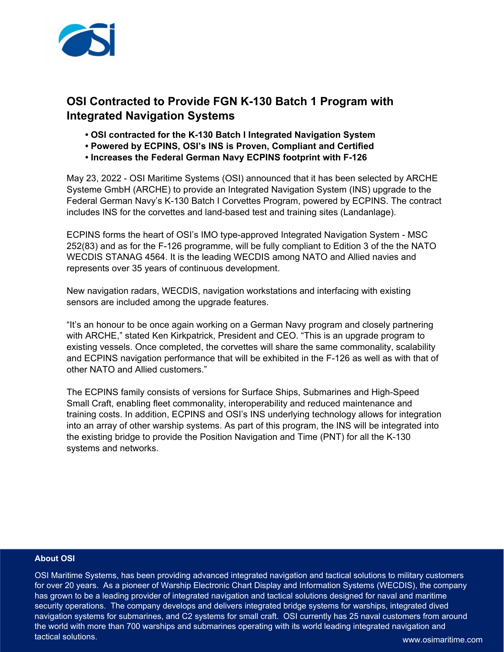

## **OSI Contracted to Provide FGN K-130 Batch 1 Program with Integrated Navigation Systems**

- **OSI contracted for the K-130 Batch I Integrated Navigation System**
- **Powered by ECPINS, OSI's INS is Proven, Compliant and Certified**
- **Increases the Federal German Navy ECPINS footprint with F-126**

May 23, 2022 - OSI Maritime Systems (OSI) announced that it has been selected by ARCHE Systeme GmbH (ARCHE) to provide an Integrated Navigation System (INS) upgrade to the Federal German Navy's K-130 Batch I Corvettes Program, powered by ECPINS. The contract includes INS for the corvettes and land-based test and training sites (Landanlage).

ECPINS forms the heart of OSI's IMO type-approved Integrated Navigation System - MSC 252(83) and as for the F-126 programme, will be fully compliant to Edition 3 of the the NATO WECDIS STANAG 4564. It is the leading WECDIS among NATO and Allied navies and represents over 35 years of continuous development.

New navigation radars, WECDIS, navigation workstations and interfacing with existing sensors are included among the upgrade features.

"It's an honour to be once again working on a German Navy program and closely partnering with ARCHE," stated Ken Kirkpatrick, President and CEO. "This is an upgrade program to existing vessels. Once completed, the corvettes will share the same commonality, scalability and ECPINS navigation performance that will be exhibited in the F-126 as well as with that of other NATO and Allied customers."

The ECPINS family consists of versions for Surface Ships, Submarines and High-Speed Small Craft, enabling fleet commonality, interoperability and reduced maintenance and training costs. In addition, ECPINS and OSI's INS underlying technology allows for integration into an array of other warship systems. As part of this program, the INS will be integrated into the existing bridge to provide the Position Navigation and Time (PNT) for all the K-130 systems and networks.

## **About OSI**

OSI Maritime Systems, has been providing advanced integrated navigation and tactical solutions to military customers for over 20 years. As a pioneer of Warship Electronic Chart Display and Information Systems (WECDIS), the company has grown to be a leading provider of integrated navigation and tactical solutions designed for naval and maritime security operations. The company develops and delivers integrated bridge systems for warships, integrated dived navigation systems for submarines, and C2 systems for small craft. OSI currently has 25 naval customers from around the world with more than 700 warships and submarines operating with its world leading integrated navigation and tactical solutions.